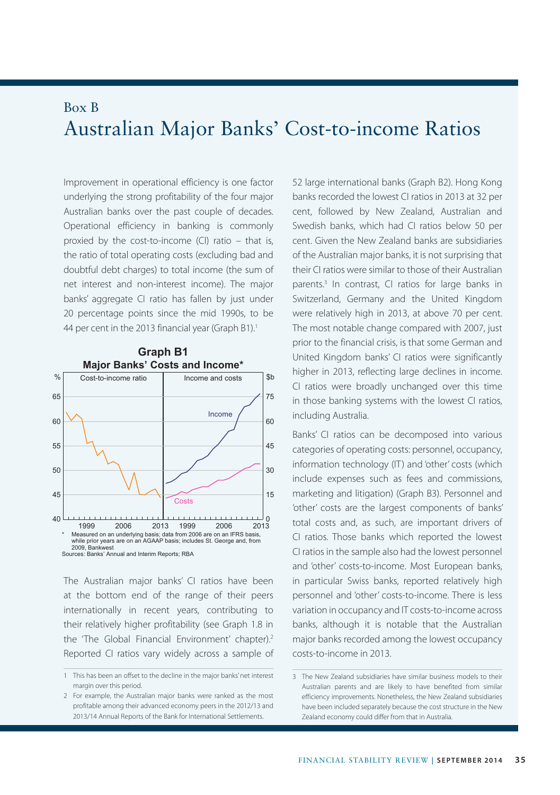## Box B Australian Major Banks' Cost-to-income Ratios

Improvement in operational efficiency is one factor underlying the strong profitability of the four major Australian banks over the past couple of decades. Operational efficiency in banking is commonly proxied by the cost-to-income (CI) ratio – that is, the ratio of total operating costs (excluding bad and doubtful debt charges) to total income (the sum of net interest and non-interest income). The major banks' aggregate CI ratio has fallen by just under 20 percentage points since the mid 1990s, to be 44 per cent in the 2013 financial year (Graph B1).<sup>1</sup>



The Australian major banks' CI ratios have been at the bottom end of the range of their peers internationally in recent years, contributing to their relatively higher profitability (see Graph 1.8 in the 'The Global Financial Environment' chapter).<sup>2</sup> Reported CI ratios vary widely across a sample of 52 large international banks (Graph B2). Hong Kong banks recorded the lowest CI ratios in 2013 at 32 per cent, followed by New Zealand, Australian and Swedish banks, which had CI ratios below 50 per cent. Given the New Zealand banks are subsidiaries of the Australian major banks, it is not surprising that their CI ratios were similar to those of their Australian parents.<sup>3</sup> In contrast, CI ratios for large banks in Switzerland, Germany and the United Kingdom were relatively high in 2013, at above 70 per cent. The most notable change compared with 2007, just prior to the financial crisis, is that some German and United Kingdom banks' CI ratios were significantly higher in 2013, reflecting large declines in income. CI ratios were broadly unchanged over this time in those banking systems with the lowest CI ratios, including Australia.

Banks' CI ratios can be decomposed into various categories of operating costs: personnel, occupancy, information technology (IT) and 'other' costs (which include expenses such as fees and commissions, marketing and litigation) (Graph B3). Personnel and 'other' costs are the largest components of banks' total costs and, as such, are important drivers of CI ratios. Those banks which reported the lowest CI ratios in the sample also had the lowest personnel and 'other' costs-to-income. Most European banks, in particular Swiss banks, reported relatively high personnel and 'other' costs-to-income. There is less variation in occupancy and IT costs-to-income across banks, although it is notable that the Australian major banks recorded among the lowest occupancy costs-to-income in 2013.

<sup>1</sup> This has been an offset to the decline in the major banks' net interest margin over this period.

<sup>2</sup> For example, the Australian major banks were ranked as the most profitable among their advanced economy peers in the 2012/13 and 2013/14 Annual Reports of the Bank for International Settlements.

<sup>3</sup> The New Zealand subsidiaries have similar business models to their Australian parents and are likely to have benefited from similar efficiency improvements. Nonetheless, the New Zealand subsidiaries have been included separately because the cost structure in the New Zealand economy could differ from that in Australia.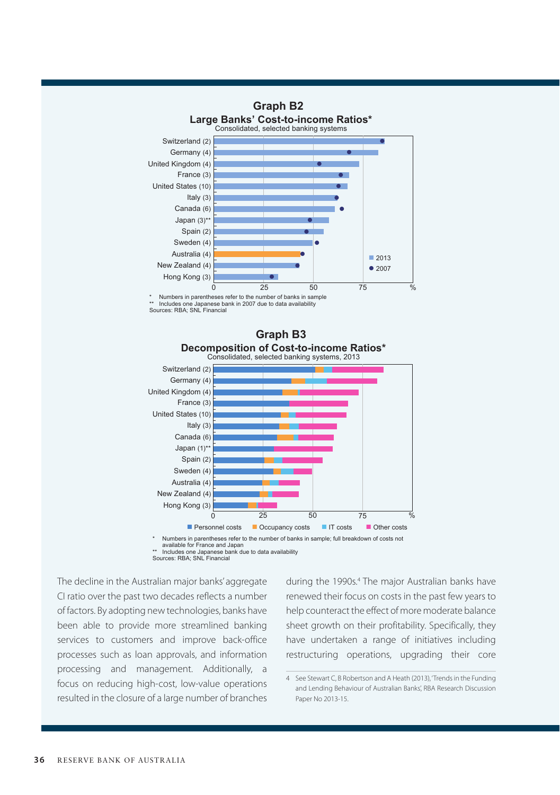

\*\* Includes one Japanese bank in 2007 due to data availability Sources: RBA; SNL Financial



Numbers in parentheses refer to the number of banks in sample; full breakdown of costs not available for France and Japan \*\* Includes one Japanese bank due to data availability

Sources: RBA; SNL Financial

The decline in the Australian major banks' aggregate CI ratio over the past two decades reflects a number of factors. By adopting new technologies, banks have been able to provide more streamlined banking services to customers and improve back-office processes such as loan approvals, and information processing and management. Additionally, a focus on reducing high-cost, low-value operations resulted in the closure of a large number of branches

during the 1990s.<sup>4</sup> The major Australian banks have renewed their focus on costs in the past few years to help counteract the effect of more moderate balance sheet growth on their profitability. Specifically, they have undertaken a range of initiatives including restructuring operations, upgrading their core

<sup>4</sup> See Stewart C, B Robertson and A Heath (2013), 'Trends in the Funding and Lending Behaviour of Australian Banks', RBA Research Discussion Paper No 2013-15.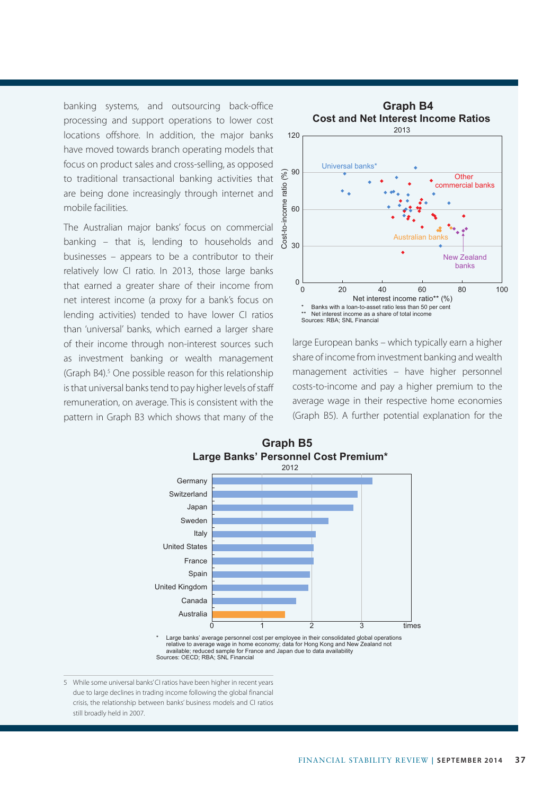banking systems, and outsourcing back-office processing and support operations to lower cost locations offshore. In addition, the major banks have moved towards branch operating models that focus on product sales and cross-selling, as opposed to traditional transactional banking activities that are being done increasingly through internet and mobile facilities.

The Australian major banks' focus on commercial banking – that is, lending to households and businesses – appears to be a contributor to their relatively low CI ratio. In 2013, those large banks that earned a greater share of their income from net interest income (a proxy for a bank's focus on lending activities) tended to have lower CI ratios than 'universal' banks, which earned a larger share of their income through non-interest sources such as investment banking or wealth management (Graph B4).<sup>5</sup> One possible reason for this relationship is that universal banks tend to pay higher levels of staff remuneration, on average. This is consistent with the pattern in Graph B3 which shows that many of the



large European banks – which typically earn a higher share of income from investment banking and wealth management activities – have higher personnel costs-to-income and pay a higher premium to the average wage in their respective home economies (Graph B5). A further potential explanation for the



5 While some universal banks' CI ratios have been higher in recent years due to large declines in trading income following the global financial crisis, the relationship between banks' business models and CI ratios still broadly held in 2007.